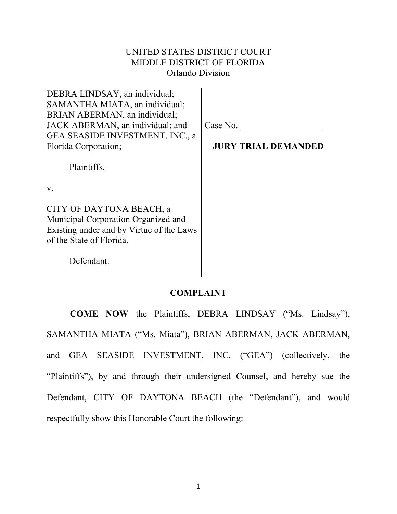# UNITED STATES DISTRICT COURT MIDDLE DISTRICT OF FLORIDA Orlando Division

| DEBRA LINDSAY, an individual;<br>SAMANTHA MIATA, an individual;                                                                         |                            |
|-----------------------------------------------------------------------------------------------------------------------------------------|----------------------------|
| BRIAN ABERMAN, an individual;<br>JACK ABERMAN, an individual; and                                                                       | Case No.                   |
| GEA SEASIDE INVESTMENT, INC., a<br>Florida Corporation;                                                                                 | <b>JURY TRIAL DEMANDED</b> |
|                                                                                                                                         |                            |
| Plaintiffs,                                                                                                                             |                            |
| $V_{\cdot}$                                                                                                                             |                            |
| CITY OF DAYTONA BEACH, a<br>Municipal Corporation Organized and<br>Existing under and by Virtue of the Laws<br>of the State of Florida, |                            |
| Defendant.                                                                                                                              |                            |

### **COMPLAINT**

**COME NOW** the Plaintiffs, DEBRA LINDSAY ("Ms. Lindsay"), SAMANTHA MIATA ("Ms. Miata"), BRIAN ABERMAN, JACK ABERMAN, and GEA SEASIDE INVESTMENT, INC. ("GEA") (collectively, the "Plaintiffs"), by and through their undersigned Counsel, and hereby sue the Defendant, CITY OF DAYTONA BEACH (the "Defendant"), and would respectfully show this Honorable Court the following: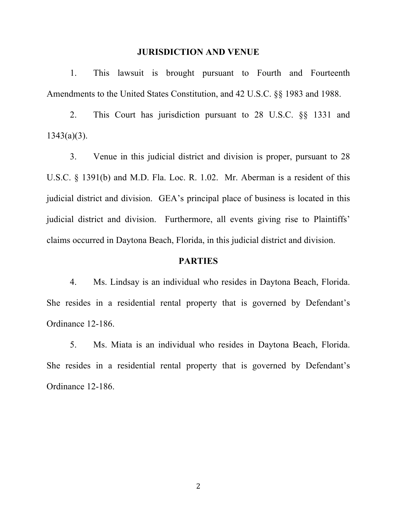#### **JURISDICTION AND VENUE**

1. This lawsuit is brought pursuant to Fourth and Fourteenth Amendments to the United States Constitution, and 42 U.S.C. §§ 1983 and 1988.

2. This Court has jurisdiction pursuant to 28 U.S.C. §§ 1331 and  $1343(a)(3)$ .

3. Venue in this judicial district and division is proper, pursuant to 28 U.S.C. § 1391(b) and M.D. Fla. Loc. R. 1.02. Mr. Aberman is a resident of this judicial district and division. GEA's principal place of business is located in this judicial district and division. Furthermore, all events giving rise to Plaintiffs' claims occurred in Daytona Beach, Florida, in this judicial district and division.

### **PARTIES**

4. Ms. Lindsay is an individual who resides in Daytona Beach, Florida. She resides in a residential rental property that is governed by Defendant's Ordinance 12-186.

5. Ms. Miata is an individual who resides in Daytona Beach, Florida. She resides in a residential rental property that is governed by Defendant's Ordinance 12-186.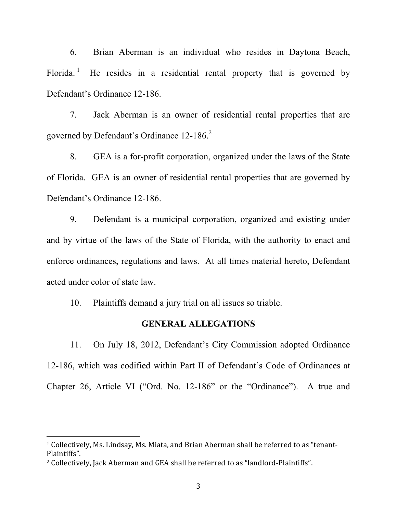6. Brian Aberman is an individual who resides in Daytona Beach, Florida.<sup>1</sup> He resides in a residential rental property that is governed by Defendant's Ordinance 12-186.

7. Jack Aberman is an owner of residential rental properties that are governed by Defendant's Ordinance 12-186.<sup>2</sup>

8. GEA is a for-profit corporation, organized under the laws of the State of Florida. GEA is an owner of residential rental properties that are governed by Defendant's Ordinance 12-186.

9. Defendant is a municipal corporation, organized and existing under and by virtue of the laws of the State of Florida, with the authority to enact and enforce ordinances, regulations and laws. At all times material hereto, Defendant acted under color of state law.

10. Plaintiffs demand a jury trial on all issues so triable.

#### **GENERAL ALLEGATIONS**

11. On July 18, 2012, Defendant's City Commission adopted Ordinance 12-186, which was codified within Part II of Defendant's Code of Ordinances at Chapter 26, Article VI ("Ord. No. 12-186" or the "Ordinance"). A true and

<sup>1</sup> Collectively, Ms. Lindsay, Ms. Miata, and Brian Aberman shall be referred to as "tenant-Plaintiffs".

<sup>2</sup> Collectively, Jack Aberman and GEA shall be referred to as "landlord-Plaintiffs".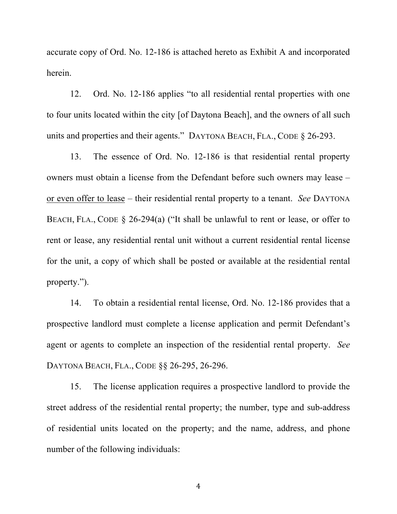accurate copy of Ord. No. 12-186 is attached hereto as Exhibit A and incorporated herein.

12. Ord. No. 12-186 applies "to all residential rental properties with one to four units located within the city [of Daytona Beach], and the owners of all such units and properties and their agents." DAYTONA BEACH, FLA., CODE § 26-293.

13. The essence of Ord. No. 12-186 is that residential rental property owners must obtain a license from the Defendant before such owners may lease – or even offer to lease – their residential rental property to a tenant. *See* DAYTONA BEACH, FLA., CODE § 26-294(a) ("It shall be unlawful to rent or lease, or offer to rent or lease, any residential rental unit without a current residential rental license for the unit, a copy of which shall be posted or available at the residential rental property.").

14. To obtain a residential rental license, Ord. No. 12-186 provides that a prospective landlord must complete a license application and permit Defendant's agent or agents to complete an inspection of the residential rental property. *See* DAYTONA BEACH, FLA., CODE §§ 26-295, 26-296.

15. The license application requires a prospective landlord to provide the street address of the residential rental property; the number, type and sub-address of residential units located on the property; and the name, address, and phone number of the following individuals: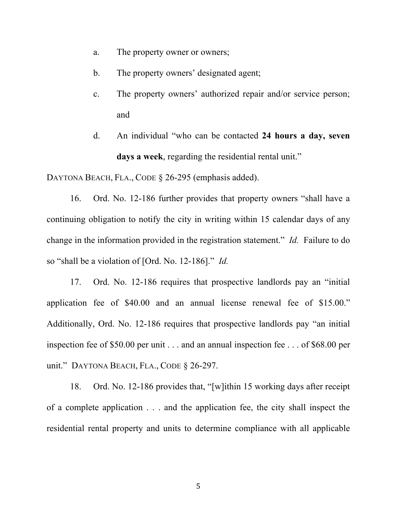- a. The property owner or owners;
- b. The property owners' designated agent;
- c. The property owners' authorized repair and/or service person; and
- d. An individual "who can be contacted **24 hours a day, seven days a week**, regarding the residential rental unit."

DAYTONA BEACH, FLA., CODE § 26-295 (emphasis added).

16. Ord. No. 12-186 further provides that property owners "shall have a continuing obligation to notify the city in writing within 15 calendar days of any change in the information provided in the registration statement." *Id.* Failure to do so "shall be a violation of [Ord. No. 12-186]." *Id.*

17. Ord. No. 12-186 requires that prospective landlords pay an "initial application fee of \$40.00 and an annual license renewal fee of \$15.00." Additionally, Ord. No. 12-186 requires that prospective landlords pay "an initial inspection fee of \$50.00 per unit . . . and an annual inspection fee . . . of \$68.00 per unit." DAYTONA BEACH, FLA., CODE § 26-297.

18. Ord. No. 12-186 provides that, "[w]ithin 15 working days after receipt of a complete application . . . and the application fee, the city shall inspect the residential rental property and units to determine compliance with all applicable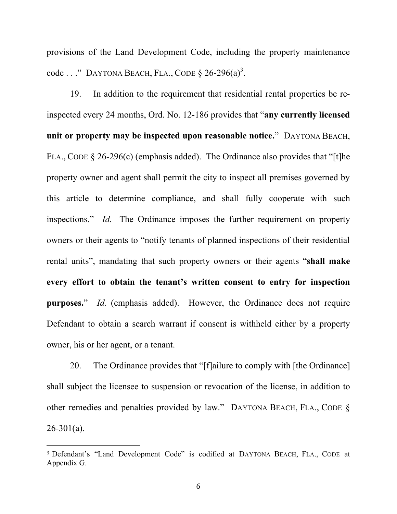provisions of the Land Development Code, including the property maintenance code . . ." DAYTONA BEACH, FLA., CODE  $\S 26-296(a)^3$ .

19. In addition to the requirement that residential rental properties be reinspected every 24 months, Ord. No. 12-186 provides that "**any currently licensed unit or property may be inspected upon reasonable notice.**" DAYTONA BEACH, FLA., CODE § 26-296(c) (emphasis added). The Ordinance also provides that "[t]he property owner and agent shall permit the city to inspect all premises governed by this article to determine compliance, and shall fully cooperate with such inspections." *Id.* The Ordinance imposes the further requirement on property owners or their agents to "notify tenants of planned inspections of their residential rental units", mandating that such property owners or their agents "**shall make every effort to obtain the tenant's written consent to entry for inspection purposes.**" *Id.* (emphasis added). However, the Ordinance does not require Defendant to obtain a search warrant if consent is withheld either by a property owner, his or her agent, or a tenant.

20. The Ordinance provides that "[f]ailure to comply with [the Ordinance] shall subject the licensee to suspension or revocation of the license, in addition to other remedies and penalties provided by law." DAYTONA BEACH, FLA., CODE §  $26 - 301(a)$ .

<sup>3</sup> Defendant's "Land Development Code" is codified at DAYTONA BEACH, FLA., CODE at Appendix G.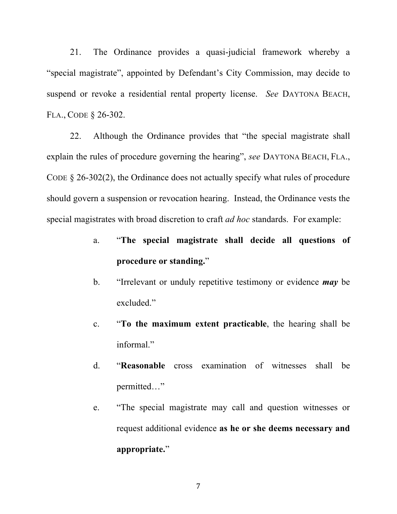21. The Ordinance provides a quasi-judicial framework whereby a "special magistrate", appointed by Defendant's City Commission, may decide to suspend or revoke a residential rental property license. *See* DAYTONA BEACH, FLA., CODE § 26-302.

22. Although the Ordinance provides that "the special magistrate shall explain the rules of procedure governing the hearing", *see* DAYTONA BEACH, FLA., CODE § 26-302(2), the Ordinance does not actually specify what rules of procedure should govern a suspension or revocation hearing. Instead, the Ordinance vests the special magistrates with broad discretion to craft *ad hoc* standards. For example:

- a. "**The special magistrate shall decide all questions of procedure or standing.**"
- b. "Irrelevant or unduly repetitive testimony or evidence *may* be excluded."
- c. "**To the maximum extent practicable**, the hearing shall be informal."
- d. "**Reasonable** cross examination of witnesses shall be permitted…"
- e. "The special magistrate may call and question witnesses or request additional evidence **as he or she deems necessary and appropriate.**"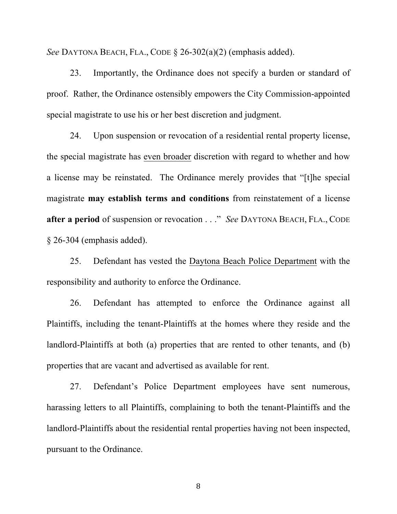*See* DAYTONA BEACH, FLA., CODE § 26-302(a)(2) (emphasis added).

23. Importantly, the Ordinance does not specify a burden or standard of proof. Rather, the Ordinance ostensibly empowers the City Commission-appointed special magistrate to use his or her best discretion and judgment.

24. Upon suspension or revocation of a residential rental property license, the special magistrate has even broader discretion with regard to whether and how a license may be reinstated. The Ordinance merely provides that "[t]he special magistrate **may establish terms and conditions** from reinstatement of a license **after a period** of suspension or revocation . . ." *See* DAYTONA BEACH, FLA., CODE § 26-304 (emphasis added).

25. Defendant has vested the Daytona Beach Police Department with the responsibility and authority to enforce the Ordinance.

26. Defendant has attempted to enforce the Ordinance against all Plaintiffs, including the tenant-Plaintiffs at the homes where they reside and the landlord-Plaintiffs at both (a) properties that are rented to other tenants, and (b) properties that are vacant and advertised as available for rent.

27. Defendant's Police Department employees have sent numerous, harassing letters to all Plaintiffs, complaining to both the tenant-Plaintiffs and the landlord-Plaintiffs about the residential rental properties having not been inspected, pursuant to the Ordinance.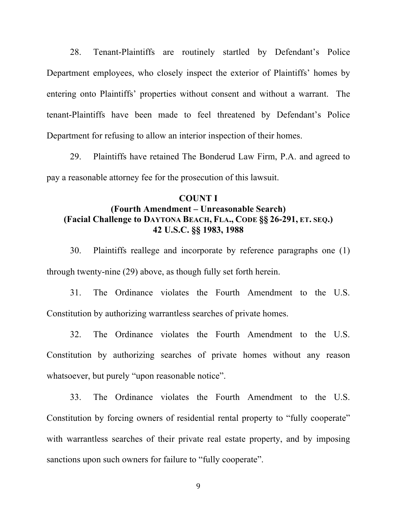28. Tenant-Plaintiffs are routinely startled by Defendant's Police Department employees, who closely inspect the exterior of Plaintiffs' homes by entering onto Plaintiffs' properties without consent and without a warrant. The tenant-Plaintiffs have been made to feel threatened by Defendant's Police Department for refusing to allow an interior inspection of their homes.

29. Plaintiffs have retained The Bonderud Law Firm, P.A. and agreed to pay a reasonable attorney fee for the prosecution of this lawsuit.

## **COUNT I (Fourth Amendment – Unreasonable Search) (Facial Challenge to DAYTONA BEACH, FLA., CODE §§ 26-291, ET. SEQ.) 42 U.S.C. §§ 1983, 1988**

30. Plaintiffs reallege and incorporate by reference paragraphs one (1) through twenty-nine (29) above, as though fully set forth herein.

31. The Ordinance violates the Fourth Amendment to the U.S. Constitution by authorizing warrantless searches of private homes.

32. The Ordinance violates the Fourth Amendment to the U.S. Constitution by authorizing searches of private homes without any reason whatsoever, but purely "upon reasonable notice".

33. The Ordinance violates the Fourth Amendment to the U.S. Constitution by forcing owners of residential rental property to "fully cooperate" with warrantless searches of their private real estate property, and by imposing sanctions upon such owners for failure to "fully cooperate".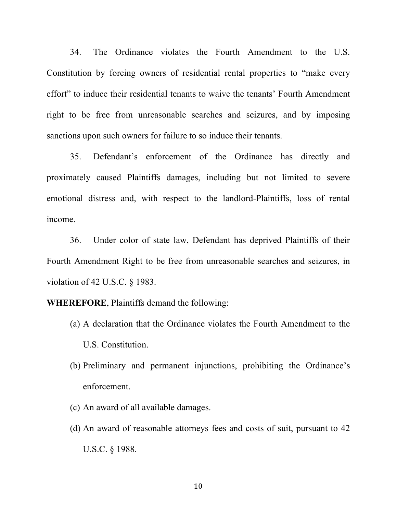34. The Ordinance violates the Fourth Amendment to the U.S. Constitution by forcing owners of residential rental properties to "make every effort" to induce their residential tenants to waive the tenants' Fourth Amendment right to be free from unreasonable searches and seizures, and by imposing sanctions upon such owners for failure to so induce their tenants.

35. Defendant's enforcement of the Ordinance has directly and proximately caused Plaintiffs damages, including but not limited to severe emotional distress and, with respect to the landlord-Plaintiffs, loss of rental income.

36. Under color of state law, Defendant has deprived Plaintiffs of their Fourth Amendment Right to be free from unreasonable searches and seizures, in violation of 42 U.S.C. § 1983.

**WHEREFORE**, Plaintiffs demand the following:

- (a) A declaration that the Ordinance violates the Fourth Amendment to the U.S. Constitution.
- (b) Preliminary and permanent injunctions, prohibiting the Ordinance's enforcement.
- (c) An award of all available damages.
- (d) An award of reasonable attorneys fees and costs of suit, pursuant to 42 U.S.C. § 1988.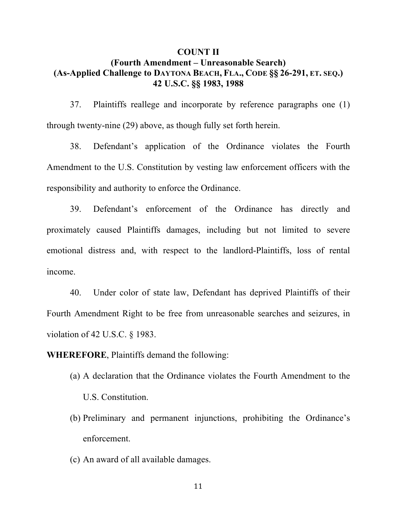## **COUNT II (Fourth Amendment – Unreasonable Search) (As-Applied Challenge to DAYTONA BEACH, FLA., CODE §§ 26-291, ET. SEQ.) 42 U.S.C. §§ 1983, 1988**

37. Plaintiffs reallege and incorporate by reference paragraphs one (1) through twenty-nine (29) above, as though fully set forth herein.

38. Defendant's application of the Ordinance violates the Fourth Amendment to the U.S. Constitution by vesting law enforcement officers with the responsibility and authority to enforce the Ordinance.

39. Defendant's enforcement of the Ordinance has directly and proximately caused Plaintiffs damages, including but not limited to severe emotional distress and, with respect to the landlord-Plaintiffs, loss of rental income.

40. Under color of state law, Defendant has deprived Plaintiffs of their Fourth Amendment Right to be free from unreasonable searches and seizures, in violation of 42 U.S.C. § 1983.

**WHEREFORE**, Plaintiffs demand the following:

- (a) A declaration that the Ordinance violates the Fourth Amendment to the U.S. Constitution.
- (b) Preliminary and permanent injunctions, prohibiting the Ordinance's enforcement.
- (c) An award of all available damages.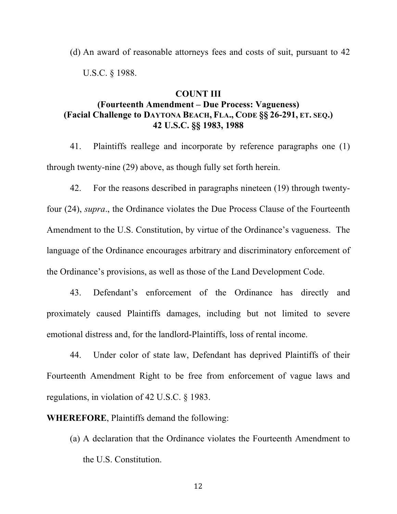(d) An award of reasonable attorneys fees and costs of suit, pursuant to 42 U.S.C. § 1988.

#### **COUNT III**

# **(Fourteenth Amendment – Due Process: Vagueness) (Facial Challenge to DAYTONA BEACH, FLA., CODE §§ 26-291, ET. SEQ.) 42 U.S.C. §§ 1983, 1988**

41. Plaintiffs reallege and incorporate by reference paragraphs one (1) through twenty-nine (29) above, as though fully set forth herein.

42. For the reasons described in paragraphs nineteen (19) through twentyfour (24), *supra*., the Ordinance violates the Due Process Clause of the Fourteenth Amendment to the U.S. Constitution, by virtue of the Ordinance's vagueness. The language of the Ordinance encourages arbitrary and discriminatory enforcement of the Ordinance's provisions, as well as those of the Land Development Code.

43. Defendant's enforcement of the Ordinance has directly and proximately caused Plaintiffs damages, including but not limited to severe emotional distress and, for the landlord-Plaintiffs, loss of rental income.

44. Under color of state law, Defendant has deprived Plaintiffs of their Fourteenth Amendment Right to be free from enforcement of vague laws and regulations, in violation of 42 U.S.C. § 1983.

**WHEREFORE**, Plaintiffs demand the following:

(a) A declaration that the Ordinance violates the Fourteenth Amendment to the U.S. Constitution.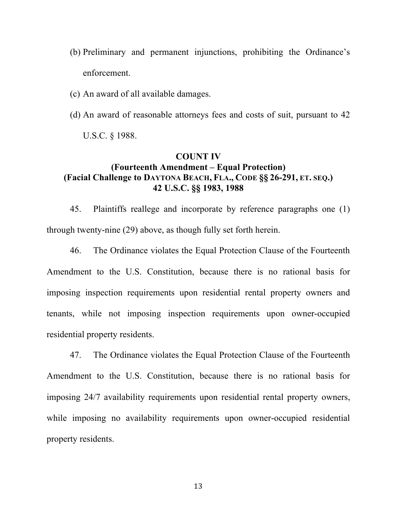(b) Preliminary and permanent injunctions, prohibiting the Ordinance's enforcement.

(c) An award of all available damages.

(d) An award of reasonable attorneys fees and costs of suit, pursuant to 42

U.S.C. § 1988.

#### **COUNT IV**

# **(Fourteenth Amendment – Equal Protection) (Facial Challenge to DAYTONA BEACH, FLA., CODE §§ 26-291, ET. SEQ.) 42 U.S.C. §§ 1983, 1988**

45. Plaintiffs reallege and incorporate by reference paragraphs one (1) through twenty-nine (29) above, as though fully set forth herein.

46. The Ordinance violates the Equal Protection Clause of the Fourteenth Amendment to the U.S. Constitution, because there is no rational basis for imposing inspection requirements upon residential rental property owners and tenants, while not imposing inspection requirements upon owner-occupied residential property residents.

47. The Ordinance violates the Equal Protection Clause of the Fourteenth Amendment to the U.S. Constitution, because there is no rational basis for imposing 24/7 availability requirements upon residential rental property owners, while imposing no availability requirements upon owner-occupied residential property residents.